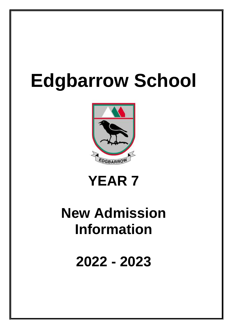# **Edgbarrow School**





## **New Admission Information**

**2022 - 2023**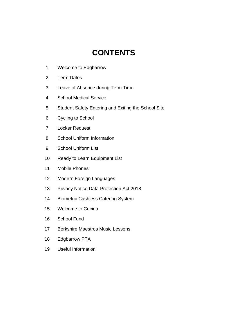## **CONTENTS**

- Welcome to Edgbarrow
- Term Dates
- Leave of Absence during Term Time
- School Medical Service
- Student Safety Entering and Exiting the School Site
- Cycling to School
- Locker Request
- School Uniform Information
- School Uniform List
- Ready to Learn Equipment List
- Mobile Phones
- Modern Foreign Languages
- Privacy Notice Data Protection Act 2018
- Biometric Cashless Catering System
- Welcome to Cucina
- School Fund
- Berkshire Maestros Music Lessons
- Edgbarrow PTA
- Useful Information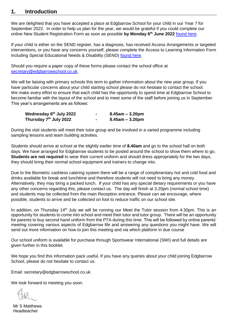#### **1. Introduction**

We are delighted that you have accepted a place at Edgbarrow School for your child in our Year 7 for September 2022. In order to help us plan for the year, we would be grateful if you could complete our online New Student Registration Form as soon as possible **by Monday 6th June 2022** [found here.](https://forms.office.com/Pages/ResponsePage.aspx?id=MQD74AA-UUGpfHEx7qasIAZUNzuaqGNGjf4wJf_UQ1lURUdZUzFVOE1BMUNBQUhSMzczRTZHWkxPOC4u)

If your child is either on the SEND register, has a diagnosis, has received Access Arrangements or targeted interventions, or you have any concerns yourself, please complete the Access to Learning Information Form including Special Educational Needs & Disability (SEND) [found here.](https://forms.office.com/Pages/ResponsePage.aspx?id=MQD74AA-UUGpfHEx7qasIAZUNzuaqGNGjf4wJf_UQ1lUOVRKNEsyUThFRTcxT1pHQ1ZQTTEzN1dRMC4u)

Should you require a paper copy of these forms please contact the school office at [secretary@edgbarrowschool.co.uk.](mailto:secretary@edgbarrowschool.co.uk)

We will be liaising with primary schools this term to gather information about the new year group. If you have particular concerns about your child starting school please do not hesitate to contact the school. We make every effort to ensure that each child has the opportunity to spend time at Edgbarrow School to become familiar with the layout of the school and to meet some of the staff before joining us in September. This year's arrangements are as follows:

| Wednesday 6th July 2022 | $8.45$ am – 3.20pm    |
|-------------------------|-----------------------|
| Thursday 7th July 2022  | $8.45$ am – $3.20$ pm |

During the visit students will meet their tutor group and be involved in a varied programme including sampling lessons and team building activities.

Students should arrive at school at the slightly earlier time of **8.40am** and go to the school hall on both days. We have arranged for Edgbarrow students to be posted around the school to show them where to go. **Students are not required** to wear their current uniform and should dress appropriately for the two days, they should bring their normal school equipment and trainers to change into.

Due to the Biometric cashless catering system there will be a range of complimentary hot and cold food and drinks available for break and lunchtime and therefore students will not need to bring any money. Alternatively, they may bring a packed lunch. If your child has any special dietary requirements or you have any other concerns regarding this, please contact us. The day will finish at 3.20pm (normal school time) and students may be collected from the main Reception entrance. Please can we encourage, where possible, students to arrive and be collected on foot to reduce traffic on our school site.

In addition, on Thursday 14<sup>th</sup> July we will be running our Meet the Tutor session from 4:30pm. This is an opportunity for students to come into school and meet their tutor and tutor group. There will be an opportunity for parents to buy second hand uniform from the PTA during this time. This will be followed by online parents' meeting covering various aspects of Edgbarrow life and answering any questions you might have. We will send out more information on how to join this meeting and via which platform in due course

Our school uniform is available for purchase through Sportswear International (SWI) and full details are given further in this booklet.

We hope you find this information pack useful. If you have any queries about your child joining Edgbarrow School, please do not hesitate to contact us.

Email: secretary@edgbarrowschool.co.uk

We look forward to meeting you soon.

Mr S Matthews Headteacher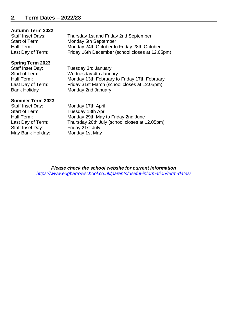#### **Autumn Term 2022**

Staff Inset Days: Thursday 1st and Friday 2nd September Start of Term: Monday 5th September Half Term: Monday 24th October to Friday 28th October Last Day of Term: Friday 16th December (school closes at 12.05pm)

#### **Spring Term 2023**

Staff Inset Day: Tuesday 3rd January Start of Term: Wednesday 4th January Half Term: Monday 13th February to Friday 17th February Last Day of Term: Friday 31st March (school closes at 12.05pm) Bank Holiday Monday 2nd January

#### **Summer Term 2023**

Staff Inset Day: Monday 17th April Start of Term: Tuesday 18th April Staff Inset Day: Friday 21st July May Bank Holiday: Monday 1st May

Half Term: Monday 29th May to Friday 2nd June Last Day of Term: Thursday 20th July (school closes at 12.05pm)

> *Please check the school website for current information <https://www.edgbarrowschool.co.uk/parents/useful-information/term-dates/>*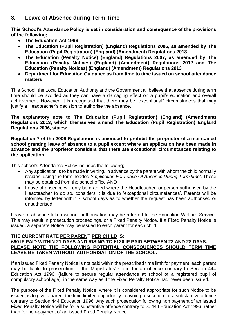**This School's Attendance Policy is set in consideration and consequence of the provisions of the following;**

- **The Education Act 1996**
- **The Education (Pupil Registration) (England) Regulations 2006, as amended by The Education (Pupil Registration) (England) (Amendment) Regulations 2013**
- **The Education (Penalty Notice) (England) Regulations 2007, as amended by The Education (Penalty Notices) (England) (Amendment) Regulations 2012 and The Education (Penalty Notices) (England) (Amendment) Regulations 2013**
- **Department for Education Guidance as from time to time issued on school attendance matters**

This School, the Local Education Authority and the Government all believe that absence during term time should be avoided as they can have a damaging effect on a pupil's education and overall achievement. However, it is recognised that there may be "exceptional" circumstances that may justify a Headteacher's decision to authorise the absence.

**The explanatory note to The Education (Pupil Registration) (England) (Amendment) Regulations 2013, which themselves amend The Education (Pupil Registration) England Regulations 2006, states;** 

**Regulation 7 of the 2006 Regulations is amended to prohibit the proprietor of a maintained school granting leave of absence to a pupil except where an application has been made in advance and the proprietor considers that there are exceptional circumstances relating to the application**

This school's Attendance Policy includes the following;

- Any application is to be made in writing, in advance by the parent with whom the child normally resides, using the form headed *'Application For Leave Of Absence During Term time'*. These may be obtained from the school office AND
- Leave of absence will only be granted where the Headteacher, or person authorised by the Headteacher to do so, considers it is due to 'exceptional circumstances'. Parents will be informed by letter within 7 school days as to whether the request has been authorised or unauthorised.

Leave of absence taken without authorisation may be referred to the Education Welfare Service. This may result in prosecution proceedings, or a Fixed Penalty Notice. If a Fixed Penalty Notice is issued, a separate Notice may be issued to each parent for each child.

#### **THE CURRENT RATE PER PARENT PER CHILD IS: £60 IF PAID WITHIN 21 DAYS AND RISING TO £120 IF PAID BETWEEN 22 AND 28 DAYS. PLEASE NOTE THE FOLLOWING POTENTIAL CONSEQUENCES SHOULD TERM TIME LEAVE BE TAKEN WITHOUT AUTHORISATION OF THE SCHOOL.**

If an issued Fixed Penalty Notice is not paid within the prescribed time limit for payment, each parent may be liable to prosecution at the Magistrates' Court for an offence contrary to Section 444 Education Act 1996, (failure to secure regular attendance at school of a registered pupil of compulsory school age), in the same way as if the Fixed Penalty Notice had never been issued.

The purpose of the Fixed Penalty Notice, where it is considered appropriate for such Notice to be issued, is to give a parent the time limited opportunity to avoid prosecution for a substantive offence contrary to Section 444 Education 1996. Any such prosecution following non payment of an issued Fixed Penalty Notice will be for a substantive offence contrary to S. 444 Education Act 1996, rather than for non-payment of an issued Fixed Penalty Notice.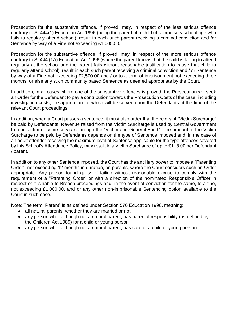Prosecution for the substantive offence, if proved, may, in respect of the less serious offence contrary to S. 444(1) Education Act 1996 (being the parent of a child of compulsory school age who fails to regularly attend school), result in each such parent receiving a criminal conviction and /or Sentence by way of a Fine not exceeding £1,000.00.

Prosecution for the substantive offence, if proved, may, in respect of the more serious offence contrary to S. 444 (1A) Education Act 1996 (where the parent knows that the child is failing to attend regularly at the school and the parent fails without reasonable justification to cause that child to regularly attend school), result in each such parent receiving a criminal conviction and / or Sentence by way of a Fine not exceeding £2,500.00 and / or to a term of imprisonment not exceeding three months, or else any such community based Sentence as deemed appropriate by the Court.

In addition, in all cases where one of the substantive offences is proved, the Prosecution will seek an Order for the Defendant to pay a contribution towards the Prosecution Costs of the case, including investigation costs, the application for which will be served upon the Defendants at the time of the relevant Court proceedings.

In addition, when a Court passes a sentence, it must also order that the relevant "Victim Surcharge" be paid by Defendants. Revenue raised from the Victim Surcharge is used by Central Government to fund victim of crime services through the "Victim and General Fund". The amount of the Victim Surcharge to be paid by Defendants depends on the type of Sentence imposed and, in the case of an adult offender receiving the maximum level of Sentence applicable for the type offences covered by this School's Attendance Policy, may result in a Victim Surcharge of up to £115.00 per Defendant / parent.

In addition to any other Sentence imposed, the Court has the ancillary power to impose a "Parenting Order", not exceeding 12 months in duration, on parents, where the Court considers such an Order appropriate. Any person found guilty of failing without reasonable excuse to comply with the requirement of a "Parenting Order" or with a direction of the nominated Responsible Officer in respect of it is liable to Breach proceedings and, in the event of conviction for the same, to a fine, not exceeding £1,000.00, and or any other non-imprisonable Sentencing option available to the Court in such case.

Note: The term "Parent" is as defined under Section 576 Education 1996, meaning;

- all natural parents, whether they are married or not
- any person who, although not a natural parent, has parental responsibility (as defined by the Children Act 1989) for a child or young person
- any person who, although not a natural parent, has care of a child or young person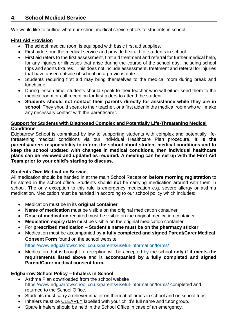## **4. School Medical Service**

We would like to outline what our school medical service offers to students in school.

#### **First Aid Provision**

- The school medical room is equipped with basic first aid supplies.
- First aiders run the medical service and provide first aid for students in school.
- First aid refers to the first assessment, first aid treatment and referral for further medical help, for any injuries or illnesses that arise during the course of the school day, including school trips and sports fixtures. This does not include assessment, treatment and referral for injuries that have arisen outside of school on a previous date.
- Students requiring first aid may bring themselves to the medical room during break and lunchtime.
- During lesson time, students should speak to their teacher who will either send them to the medical room or call reception for first aiders to attend the student.
- **Students should not contact their parents directly for assistance while they are in school.** They should speak to their teacher, or a first aider in the medical room who will make any necessary contact with the parent/carer.

#### **Support for Students with Diagnosed Complex and Potentially Life-Threatening Medical Conditions**

**Edgbarrow School is committed by law to supporting students with complex and potentially life**threatening medical conditions via our Individual Healthcare Plan procedure. **It is the parents/carers responsibility to inform the school about student medical conditions and to keep the school updated with changes in medical conditions, then individual healthcare plans can be reviewed and updated as required. A meeting can be set up with the First Aid Team prior to your child's starting to discuss.** 

#### **Students Own Medication Service**

All medication should be handed in at the main School Reception **before morning registration** to be stored in the school office. Students should **not** be carrying medication around with them in school. The only exception to this rule is emergency medication e.g. severe allergy or asthma medication. Medication must be handed in according to our school policy which includes:

- Medication must be in its **original container**
- **Name of medication** must be visible on the original medication container
- **Dose of medication** required must be visible on the original medication container
- **Medication expiry date** must be visible on the original medication container
- For **prescribed medication Student's name must be on the pharmacy sticker**
- Medication must be accompanied by **a fully completed and signed Parent/Carer Medical Consent Form** found on the school website

<https://www.edgbarrowschool.co.uk/parents/useful-information/forms/>

• Medication that is brought to reception will be accepted by the school **only if it meets the requirements listed above** and is **accompanied by a fully completed and signed Parent/Carer medical consent form.**

#### **Edgbarrow School Policy – Inhalers in School**

- Asthma Plan downloaded from the school website <https://www.edgbarrowschool.co.uk/parents/useful-information/forms/> completed and returned to the School Office.
- Students must carry a reliever inhaler on them at all times in school and on school trips.
- Inhalers must be **CLEARLY** labelled with your child's full name and tutor group.
- Spare inhalers should be held in the School Office in case of an emergency.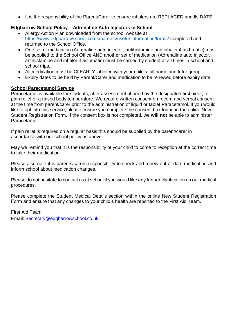It is the responsibility of the Parent/Carer to ensure inhalers are REPLACED and IN DATE.

#### **Edgbarrow School Policy – Adrenaline Auto Injectors in School**

- Allergy Action Plan downloaded from the school website at <https://www.edgbarrowschool.co.uk/parents/useful-information/forms/> completed and returned to the School Office.
- One set of medication (Adrenaline auto injector, antihistamine and inhaler if asthmatic) must be supplied to the School Office AND another set of medication (Adrenaline auto injector, antihistamine and inhaler if asthmatic) must be carried by student at all times in school and school trips.
- All medication must be CLEARLY labelled with your child's full name and tutor group.
- Expiry dates to be held by Parent/Carer and medication to be renewed before expiry date.

#### **School Paracetamol Service**

Paracetamol is available for students, after assessment of need by the designated first aider, for pain relief or a raised body temperature. We require written consent on record and verbal consent at the time from parent/carer prior to the administration of liquid or tablet Paracetamol. If you would like to opt into this service, please ensure you complete the consent box found in the online New Student Registration Form. If the consent box is not completed, we **will not** be able to administer Paracetamol.

If pain relief is required on a regular basis this should be supplied by the parent/carer in accordance with our school policy as above.

May we remind you that it is the responsibility of your child to come to reception at the correct time to take their medication.

Please also note it is parents/carers responsibility to check and renew out of date medication and inform school about medication changes.

Please do not hesitate to contact us at school if you would like any further clarification on our medical procedures.

Please complete the Student Medical Details section within the online New Student Registration Form and ensure that any changes to your child's health are reported to the First Aid Team.

First Aid Team Email: [Secretary@edgbarrowschool.co.uk](mailto:Secretary@edgbarrowschool.co.uk)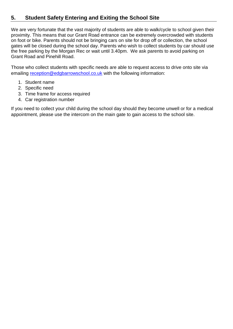## **5. Student Safety Entering and Exiting the School Site**

We are very fortunate that the vast majority of students are able to walk/cycle to school given their proximity. This means that our Grant Road entrance can be extremely overcrowded with students on foot or bike. Parents should not be bringing cars on site for drop off or collection, the school gates will be closed during the school day. Parents who wish to collect students by car should use the free parking by the Morgan Rec or wait until 3.40pm. We ask parents to avoid parking on Grant Road and Pinehill Road.

Those who collect students with specific needs are able to request access to drive onto site via emailing [reception@edgbarrowschool.co.uk](mailto:reception@edgbarrowschool.co.uk) with the following information:

- 1. Student name
- 2. Specific need
- 3. Time frame for access required
- 4. Car registration number

If you need to collect your child during the school day should they become unwell or for a medical appointment, please use the intercom on the main gate to gain access to the school site.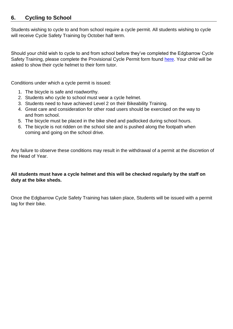## **6. Cycling to School**

Students wishing to cycle to and from school require a cycle permit. All students wishing to cycle will receive Cycle Safety Training by October half term.

Should your child wish to cycle to and from school before they've completed the Edgbarrow Cycle Safety Training, please complete the Provisional Cycle Permit form found [here.](https://forms.office.com/Pages/ResponsePage.aspx?id=MQD74AA-UUGpfHEx7qasIAZUNzuaqGNGjf4wJf_UQ1lURTJDMEFXTEdSWkxHVE0wTUdUOUVPT1UzUS4u) Your child will be asked to show their cycle helmet to their form tutor.

Conditions under which a cycle permit is issued:

- 1. The bicycle is safe and roadworthy.
- 2. Students who cycle to school must wear a cycle helmet.
- 3. Students need to have achieved Level 2 on their Bikeability Training.
- 4. Great care and consideration for other road users should be exercised on the way to and from school.
- 5. The bicycle must be placed in the bike shed and padlocked during school hours.
- 6. The bicycle is not ridden on the school site and is pushed along the footpath when coming and going on the school drive.

Any failure to observe these conditions may result in the withdrawal of a permit at the discretion of the Head of Year.

#### **All students must have a cycle helmet and this will be checked regularly by the staff on duty at the bike sheds.**

Once the Edgbarrow Cycle Safety Training has taken place, Students will be issued with a permit tag for their bike.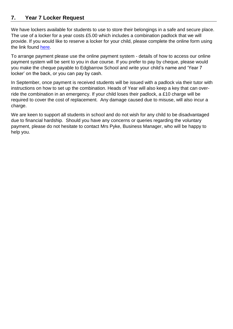## **7. Year 7 Locker Request**

We have lockers available for students to use to store their belongings in a safe and secure place. The use of a locker for a year costs £5.00 which includes a combination padlock that we will provide. If you would like to reserve a locker for your child, please complete the online form using the link found [here.](https://forms.office.com/Pages/ResponsePage.aspx?id=MQD74AA-UUGpfHEx7qasIAZUNzuaqGNGjf4wJf_UQ1lUNEhVS0k0VUoxTEFMOEwyUE8yU1YxSENERS4u)

To arrange payment please use the online payment system - details of how to access our online payment system will be sent to you in due course. If you prefer to pay by cheque, please would you make the cheque payable to Edgbarrow School and write your child's name and 'Year 7 locker' on the back, or you can pay by cash.

In September, once payment is received students will be issued with a padlock via their tutor with instructions on how to set up the combination. Heads of Year will also keep a key that can override the combination in an emergency. If your child loses their padlock, a £10 charge will be required to cover the cost of replacement. Any damage caused due to misuse, will also incur a charge.

We are keen to support all students in school and do not wish for any child to be disadvantaged due to financial hardship. Should you have any concerns or queries regarding the voluntary payment, please do not hesitate to contact Mrs Pyke, Business Manager, who will be happy to help you.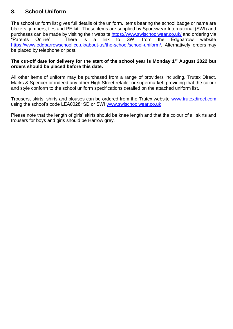## **8. School Uniform**

The school uniform list gives full details of the uniform. Items bearing the school badge or name are blazers, jumpers, ties and PE kit. These items are supplied by Sportswear International (SWI) and purchases can be made by visiting their website<https://www.swischoolwear.co.uk/> and ordering via "Parents Online". There is a link to SWI from the Edgbarrow website [https://www.edgbarrowschool.co.uk/about-us/the-school/school-uniform/.](https://www.edgbarrowschool.co.uk/about-us/the-school/school-uniform/) Alternatively, orders may be placed by telephone or post.

#### **The cut-off date for delivery for the start of the school year is Monday 1 st August 2022 but orders should be placed before this date.**

All other items of uniform may be purchased from a range of providers including, Trutex Direct, Marks & Spencer or indeed any other High Street retailer or supermarket, providing that the colour and style conform to the school uniform specifications detailed on the attached uniform list.

Trousers, skirts, shirts and blouses can be ordered from the Trutex website www.trutexdirect.com using the school's code LEA00281SD or SWI [www.swischoolwear.co.uk](http://www.swischoolwear.co.uk/)

Please note that the length of girls' skirts should be knee length and that the colour of all skirts and trousers for boys and girls should be Harrow grey.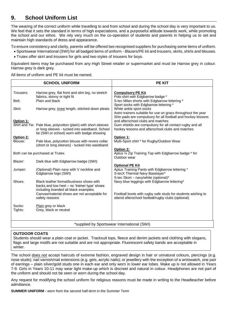## **9. School Uniform List**

The wearing of the correct uniform while travelling to and from school and during the school day is very important to us. We feel that it sets the standard in terms of high expectations, and a purposeful attitude towards work, while promoting the school and our ethos. We rely very much on the co-operation of students and parents in helping us to set and maintain high standards of dress and appearance.

To ensure consistency and clarity, parents will be offered two recognised suppliers for purchasing some items of uniform.

- Sportswear International (SWI) for all badged items of uniform Blazers/PE kit and trousers, skirts, shirts and blouses.
- Trutex offer skirt and trousers for girls and two styles of trousers for boys.

Equivalent items may be purchased from any High Street retailer or supermarket and must be Harrow grey in colour. Harrow grey is dark grey.

All items of uniform and PE kit must be named.

|                      | <b>SCHOOL UNIFORM</b>                                                                                                                                             | <b>PE KIT</b>                                                                                                                                       |
|----------------------|-------------------------------------------------------------------------------------------------------------------------------------------------------------------|-----------------------------------------------------------------------------------------------------------------------------------------------------|
| Trousers:            | Harrow grey, flat front and slim leg, no stretch<br>fabrics, skinny or tight fit                                                                                  | <b>Compulsory PE Kit</b><br>Polo shirt with Edgbarrow badge *                                                                                       |
| Belt:                | Plain and black                                                                                                                                                   | S-tec Milan shorts with Edgbarrow lettering *<br>Sport socks with Edgbarrow lettering *                                                             |
| Skirt:               | Harrow grey, knee length, stitched down pleats                                                                                                                    | White ankle sport socks<br>Astro trainers suitable for use on grass throughout the year                                                             |
| Option 1:            |                                                                                                                                                                   | Shin pads are compulsory for all football and hockey lessons<br>and afterschool clubs and matches                                                   |
|                      | Shirt and Tie: Pale blue, polycotton (plain) with short sleeves<br>or long sleeves - tucked into waistband. School<br>tie (SWI or school) worn with badge showing | Gum shields are compulsory for all contact rugby and all<br>hockey lessons and afterschool clubs and matches                                        |
| Option 2:<br>Blouse: | Pale blue, polycotton blouse with revere collar<br>(short or long sleeves) - tucked into waistband                                                                | Option 1:<br>Multi-Sport shirt * for Rugby/Outdoor Wear                                                                                             |
|                      | Both can be purchased at Trutex.                                                                                                                                  | Option 2:<br>Aptus 1/4 Zip Training Top with Edgbarrow badge * for<br>Outdoor wear                                                                  |
| Blazer:              | Dark blue with Edgbarrow badge (SWI)                                                                                                                              |                                                                                                                                                     |
| Jumper:              | (Optional) Plain navy with V neckline and<br>Edgbarrow logo (SWI)                                                                                                 | <b>Optional PE Kit</b><br>Aptus Training Pants with Edgbarrow lettering *<br>S-tecX Thermal Navy Baselayer*<br>S-tec Skort - navy/white (optional)* |
| Shoes:               | Black leather formal/business shoes with<br>backs and low heel - no 'trainer type' shoes<br>including branded all black examples.                                 | Navy blue leggings with Edgbarrow lettering*                                                                                                        |
|                      | Canvas/material shoes are not acceptable for<br>safety reasons                                                                                                    | Football boots with rugby safe studs for students wishing to<br>attend afterschool football/rugby clubs (optional)                                  |
| Socks:<br>Tights:    | Plain grey or black<br>Grey, black or neutral                                                                                                                     |                                                                                                                                                     |
|                      |                                                                                                                                                                   |                                                                                                                                                     |
|                      |                                                                                                                                                                   | *supplied by Sportswear International (SWI)                                                                                                         |

#### **OUTDOOR COATS**

Students should wear a plain coat or jacket. Tracksuit tops, fleece and denim jackets and clothing with slogans, flags and large motifs are not suitable and are not appropriate. Fluorescent safety bands are acceptable in winter.

The school does not accept haircuts of extreme fashion, engraved design in hair or unnatural colours, piercings (e.g. nose studs); nail varnish/nail extensions (e.g. gels, acrylic nails); or jewellery with the exception of a wristwatch, one pair of earrings – plain silver/gold studs one in each ear and only worn in lower ear lobes. Make up is not allowed in Years 7-9. Girls in Years 10-11 may wear light make-up which is discreet and natural in colour. Headphones are not part of the uniform and should not be seen or worn during the school day.

Any request for modifying the school uniform for religious reasons must be made in writing to the Headteacher before admittance.

**SUMMER UNIFORM -** worn from the second half-term in the Summer Term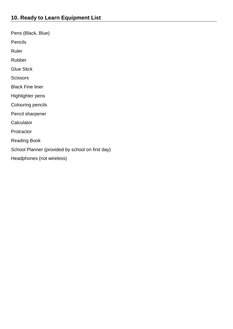Pens (Black, Blue) Pencils Ruler Rubber Glue Stick **Scissors** Black Fine liner Highlighter pens Colouring pencils Pencil sharpener **Calculator Protractor** Reading Book School Planner (provided by school on first day) Headphones (not wireless)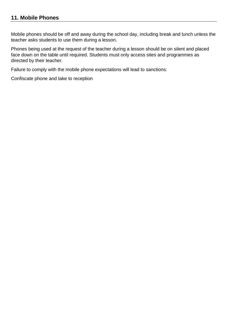Mobile phones should be off and away during the school day, including break and lunch unless the teacher asks students to use them during a lesson.

Phones being used at the request of the teacher during a lesson should be on silent and placed face down on the table until required. Students must only access sites and programmes as directed by their teacher.

Failure to comply with the mobile phone expectations will lead to sanctions:

Confiscate phone and take to reception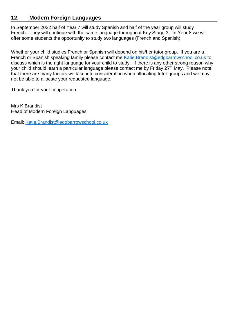## **12. Modern Foreign Languages**

In September 2022 half of Year 7 will study Spanish and half of the year group will study French. They will continue with the same language throughout Key Stage 3. In Year 8 we will offer some students the opportunity to study two languages (French and Spanish).

Whether your child studies French or Spanish will depend on his/her tutor group. If you are a French or Spanish speaking family please contact me [Katie.Brandist@edgbarrowschool.co.uk](mailto:Katie.Brandist@edgbarrowschool.co.uk) to discuss which is the right language for your child to study. If there is any other strong reason why your child should learn a particular language please contact me by Friday 27<sup>th</sup> May. Please note that there are many factors we take into consideration when allocating tutor groups and we may not be able to allocate your requested language.

Thank you for your cooperation.

Mrs K Brandist Head of Modern Foreign Languages

Email: [Katie.Brandist@edgbarrowschool.co.uk](mailto:Katie.Brandist@edgbarrowschool.co.uk)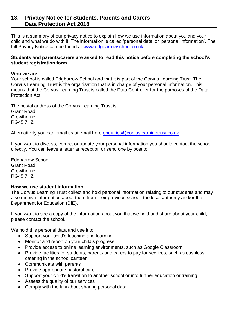#### **13. Privacy Notice for Students, Parents and Carers Data Protection Act 2018**

This is a summary of our privacy notice to explain how we use information about you and your child and what we do with it. The information is called 'personal data' or 'personal information'. The full Privacy Notice can be found at [www.edgbarrowschool.co.uk.](http://www.edgbarrowschool.co.uk/)

#### **Students and parents/carers are asked to read this notice before completing the school's student registration form.**

#### **Who we are**

Your school is called Edgbarrow School and that it is part of the Corvus Learning Trust. The Corvus Learning Trust is the organisation that is in charge of your personal information. This means that the Corvus Learning Trust is called the Data Controller for the purposes of the Data Protection Act.

The postal address of the Corvus Learning Trust is: Grant Road **Crowthorne** RG45 7HZ

Alternatively you can email us at email here [enquiries@corvuslearningtrust.co.uk](mailto:enquiries@corvuslearningtrust.co.uk)

If you want to discuss, correct or update your personal information you should contact the school directly. You can leave a letter at reception or send one by post to:

Edgbarrow School Grant Road **Crowthorne** RG45 7HZ

#### **How we use student information**

The Corvus Learning Trust collect and hold personal information relating to our students and may also receive information about them from their previous school, the local authority and/or the Department for Education (DfE).

If you want to see a copy of the information about you that we hold and share about your child, please contact the school.

We hold this personal data and use it to:

- Support your child's teaching and learning
- Monitor and report on your child's progress
- Provide access to online learning environments, such as Google Classroom
- Provide facilities for students, parents and carers to pay for services, such as cashless catering in the school canteen
- Communicate with parents
- Provide appropriate pastoral care
- Support your child's transition to another school or into further education or training
- Assess the quality of our services
- Comply with the law about sharing personal data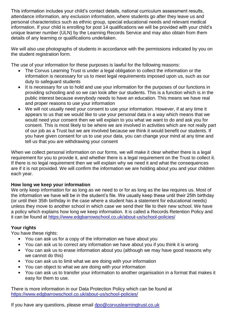This information includes your child's contact details, national curriculum assessment results, attendance information, any exclusion information, where students go after they leave us and personal characteristics such as ethnic group, special educational needs and relevant medical information. If your child is enrolling for post 14 qualifications we will be provided with your child's unique learner number (ULN) by the Learning Records Service and may also obtain from them details of any learning or qualifications undertaken.

We will also use photographs of students in accordance with the permissions indicated by you on the student registration form.

The use of your information for these purposes is lawful for the following reasons:

- The Corvus Learning Trust is under a legal obligation to collect the information or the information is necessary for us to meet legal requirements imposed upon us, such as our duty to safeguard students
- It is necessary for us to hold and use your information for the purposes of our functions in providing schooling and so we can look after our students. This is a function which is in the public interest because everybody needs to have an education. This means we have real and proper reasons to use your information
- We will not usually need your consent to use your information. However, if at any time it appears to us that we would like to use your personal data in a way which means that we would need your consent then we will explain to you what we want to do and ask you for consent. This is most likely to be where we are involved in activities which are not really part of our job as a Trust but we are involved because we think it would benefit our students. If you have given consent for us to use your data, you can change your mind at any time and tell us that you are withdrawing your consent

When we collect personal information on our forms, we will make it clear whether there is a legal requirement for you to provide it, and whether there is a legal requirement on the Trust to collect it. If there is no legal requirement then we will explain why we need it and what the consequences are if it is not provided. We will confirm the information we are holding about you and your children each year.

#### **How long we keep your information**

We only keep information for as long as we need to or for as long as the law requires us. Most of the information we have will be in the student's file. We usually keep these until their 25th birthday (or until their 35th birthday in the case where a student has a statement for educational needs) unless they move to another school in which case we send their file to their new school. We have a policy which explains how long we keep information. It is called a Records Retention Policy and it can be found at<https://www.edgbarrowschool.co.uk/about-us/school-policies/>

#### **Your rights**

You have these rights:

- You can ask us for a copy of the information we have about you
- You can ask us to correct any information we have about you if you think it is wrong
- You can ask us to erase information about you (although we may have good reasons why we cannot do this)
- You can ask us to limit what we are doing with your information
- You can object to what we are doing with your information
- You can ask us to transfer your information to another organisation in a format that makes it easy for them to use.

There is more information in our Data Protection Policy which can be found at <https://www.edgbarrowschool.co.uk/about-us/school-policies/>

If you have any questions, please email [dpo@corvuslearningtrust.co.uk](mailto:dpo@corvuslearningtrust.co.uk)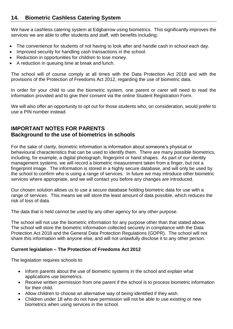## **14. Biometric Cashless Catering System**

We have a cashless catering system at Edgbarrow using biometrics. This significantly improves the services we are able to offer students and staff, with benefits including:

- The convenience for students of not having to look after and handle cash in school each day.
- Improved security for handling cash transactions in the school.
- Reduction in opportunities for children to lose money.
- A reduction in queuing time at break and lunch.

The school will of course comply at all times with the Data Protection Act 2018 and with the provisions of the Protection of Freedoms Act 2012, regarding the use of biometric data.

In order for your child to use the biometric system, one parent or carer will need to read the information provided and to give their consent via the online Student Registration Form.

We will also offer an opportunity to opt out for those students who, on consideration, would prefer to use a PIN number instead.

## **IMPORTANT NOTES FOR PARENTS Background to the use of biometrics in schools**

For the sake of clarity, biometric information is information about someone's physical or behavioural characteristics that can be used to identify them. There are many possible biometrics, including, for example, a digital photograph, fingerprint or hand shapes. As part of our identity management systems, we will record a biometric measurement taken from a finger, but not a fingerprint image. The information is stored in a highly secure database, and will only be used by the school to confirm who is using a range of services. In future we may introduce other biometric services where appropriate, and we will contact you before any changes are introduced.

Our chosen solution allows us to use a secure database holding biometric data for use with a range of services. This means we will store the least amount of data possible, which reduces the risk of loss of data.

The data that is held cannot be used by any other agency for any other purpose.

The school will not use the biometric information for any purpose other than that stated above. The school will store the biometric information collected securely in compliance with the Data Protection Act 2018 and the General Data Protection Regulations (GDPR). The school will not share this information with anyone else, and will not unlawfully disclose it to any other person.

#### **Current legislation – The Protection of Freedoms Act 2012**

The legislation requires schools to:

- Inform parents about the use of biometric systems in the school and explain what applications use biometrics.
- Receive written permission from one parent if the school is to process biometric information for their child.
- Allow children to choose an alternative way of being identified if they wish.
- Children under 18 who do not have permission will not be able to use existing or new biometrics when using services in the school.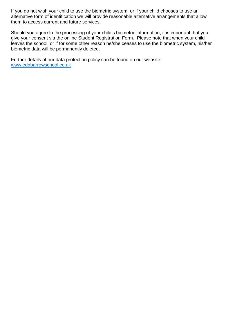If you do not wish your child to use the biometric system, or if your child chooses to use an alternative form of identification we will provide reasonable alternative arrangements that allow them to access current and future services.

Should you agree to the processing of your child's biometric information, it is important that you give your consent via the online Student Registration Form. Please note that when your child leaves the school, or if for some other reason he/she ceases to use the biometric system, his/her biometric data will be permanently deleted.

Further details of our data protection policy can be found on our website: [www.edgbarrowschool.co.uk](http://www.edgbarrowschool.co.uk/)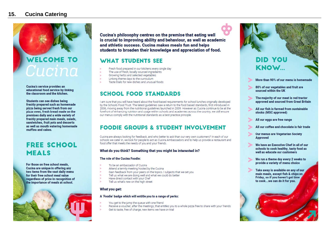## **15. Cucina Catering**

## **WELCOME TO** Cucina

Cucina's service provides an educational food service by linking the classroom and the kitchen.

Students can see dishes being freshly prepared such as homemade pizza being served fresh from our pizza oven, fresh bread made on the premises daily and a wide variety of freshly prepared main meals, salads, sandwiches, fruit pots and desserts as well as mouth watering homemade muffins and cakes.

## **FREE SCHOOL MEALS**

For those on free school meals, Cucina are unique in offering any two items from the vast daily menu for their free school meal value regardless of price in recognition of the importance of meals at school.



Cucina's philosophy centres on the premise that eating well is crucial to improving ability and behaviour, as well as academic and athletic success. Cucina makes meals fun and helps students to broaden their knowledge and appreciation of food.

## WHAT STUDENTS SFF

- Fresh food prepared in our kitchens every single day
- The use of fresh, locally sourced ingredients
- Growing herbs and selected vegetables
- Linking theme days to the curriculum

 $\geq$  $\overline{\phantom{a}}$ 

 $\sim$ 

Taste trials for new dishes and unusual foods

## **SCHOOL FOOD STANDARDS**

I am sure that you will have heard about the food-based requirements for school lunches originally developed by the Schools Food Trust. The latest guidelines saw a return to the food based standards, first introduced in 2006, moving away from the nutritional quidelines launched in 2009. However as Cucina continue to be at the forefront of enhancing nutrition and usage within schools and academies across the country, we still ensure our menus comply with the nutritional standards as a best practice principle.

## **FOODIE GROUPS & STUDENT INVOLVEMENT**

Cucina are always looking for feedback, and who better to ask than our very own customers? In each of our schools we cater in, we look for people to act as Cucina Ambassadors and to help us provide a restaurant and food offer that meets the needs of you and your friends.

#### What do you think? Something that you might be interested in?

#### The role of the Cucina Foodie:

- To be an ambassador of Cucina
- Attend a termly meeting hosted by the Cucina
- Gain feedback from your peers on the topics / subjects that we set you
- Tell us what we are doing well and what we could do better
- Have direct contact with your Chef
- Tell us what's new on the high street

#### What you get:

حا

 $\rightarrow$ 

 $\geq$ 

#### A 'Foodie' badge which will entitle you to a range of perks:

- You get to the jump the queue with one friend
- Receive a voucher, after the meetings, that entitles you to a whole pizza free to share with your friends
- Get to taste, free of charge, new items we have on trial



**DID YOU KNOW** 

More than 90% of our menu is homemade

- 80% of our vegetables and fruit are sourced within the UK
- The majority of our meat is red tractor approved and sourced from Great Britain
- All our fish is farmed from sustainable stocks (MSC approved)
- All our eags are free range
- All our coffee and chocolate is fair trade
- Our menus are Vegetarian Society **Approved**
- We have an Executive Chef in all of our schools to cook healthy, tasty food as well as educate our customers
- We run a theme day every 2 weeks to provide a variety of menu choice
- Take away is available on any of our main meals, except fish & chips on Friday, so if you haven't got time to cook...we can do it for you.

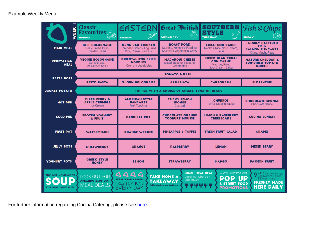Example Weekly Menu:

| EEK                                                  | Classic<br>-5555<br><b>Favourites</b><br>1UD)<br><b>MONDAY</b>       | EASTER<br><b>TUESDAY</b>                                                                                                   | Great British<br>پيم<br><b>WEDNESDAY</b>                                                   | <b>UTHERN</b><br>STYLE<br>3012<br><b>THURSDAY</b>                                                                                   | Fish & Chips<br>ု (၉<br><b>FRIDAY</b>                                                                            |
|------------------------------------------------------|----------------------------------------------------------------------|----------------------------------------------------------------------------------------------------------------------------|--------------------------------------------------------------------------------------------|-------------------------------------------------------------------------------------------------------------------------------------|------------------------------------------------------------------------------------------------------------------|
| <b>MAIN MEAL</b>                                     | <b>BEEF BOLOGNAISE</b><br>Garlic Bread, Peas.<br><b>Garden Salad</b> | <b>KUNG PAO CHICKEN</b><br>Shredded Greens, Egg Fried<br>Rice, Prawn Crackers                                              | <b>ROAST PORK</b><br>Stuffing, Yorkshire Pudding,<br>Seasonal Vegetables, Gravy            | <b>CHILLI CON CARNE</b><br>Nachos, Rice, Sour Cream,<br>Salsa                                                                       | <b>FRESHLY BATTERED</b><br>FISH/<br><b>SALMON FISHCAKES</b><br>Chips, Mushy Peas                                 |
| <b>VEGETARIAN</b><br><b>MEAL</b>                     | <b>VEGGIE BOLOGNAISE</b><br>Garlic Bread.<br>Pea Garden Salad        | <b>ORIENTAL STIR FRIED</b><br><b>NOODLES</b><br><b>Crunchy Vegetables</b>                                                  | <b>MACARONI CHEESE</b><br>Mixed Salad or Seasonal<br>Vegetables                            | <b>MIXED BEAN CHILLI</b><br><b>CON CARNE</b><br>Nachos, Rice,<br>Sour Cream, Salsa                                                  | <b>MATURE CHEDDAR &amp;</b><br><b>SUN-DRIED TOMATO</b><br><b>QUICHE</b>                                          |
|                                                      |                                                                      |                                                                                                                            | <b>TOMATO &amp; BASIL</b>                                                                  |                                                                                                                                     |                                                                                                                  |
| <b>PASTA POTS</b>                                    | <b>PESTO PASTA</b>                                                   | <b>QUORN BOLOGNAISE</b>                                                                                                    | <b>ARRABIATA</b>                                                                           | <b>CARBONARA</b>                                                                                                                    | <b>FLORENTINE</b>                                                                                                |
| <b>JACKET POTATO</b>                                 |                                                                      |                                                                                                                            | <b>TOPPED WITH A CHOICE OF CHEESE. TUNA OR BEANS</b>                                       |                                                                                                                                     |                                                                                                                  |
| <b>HOT PUD</b>                                       | <b>MIXED BERRY &amp;</b><br><b>APPLE CRUMBLE</b><br>Ice Cream        | <b>AMERICAN STYLE</b><br><b>PANCAKES</b><br><b>Fruit Toppings</b>                                                          | <b>STICKY LEMON</b><br><b>SPONGE</b><br>Custard                                            | <b>CHURROS</b><br><b>Toffee Dipping Sauce</b>                                                                                       | <b>CHOCOLATE SPONGE</b><br><b>Chocolate Sauce</b>                                                                |
| <b>COLD PUD</b>                                      | <b>FROZEN YOGHURT</b><br>& FRUIT                                     | <b>BANOFFEE POT</b>                                                                                                        | <b>CHOCOLATE ORANGE</b><br><b>YOGHURT MOUSSE</b>                                           | <b>LEMON &amp; RASPBERRY</b><br><b>CHEESECAKE</b>                                                                                   | <b>CUCINA SUNDAE</b>                                                                                             |
| <b>FRUIT POT</b>                                     | <b>WATERMELON</b>                                                    | <b>ORANGE WEDGES</b>                                                                                                       | <b>PINEAPPLE &amp; TOFFEE</b>                                                              | <b>FRESH FRUIT SALAD</b>                                                                                                            | <b>GRAPES</b>                                                                                                    |
| <b>JELLY POTS</b>                                    | <b>STRAWBERRY</b>                                                    | <b>ORANGE</b>                                                                                                              | <b>RASPBERRY</b>                                                                           | <b>LEMON</b>                                                                                                                        | <b>MIXED BERRY</b>                                                                                               |
| YOGHURT POTS                                         | <b>GREEK STYLE</b><br><b>HONEY</b>                                   | <b>LEMON</b>                                                                                                               | <b>STRAWBERRY</b>                                                                          | <b>MANGO</b>                                                                                                                        | <b>PASSION FRUIT</b>                                                                                             |
| <b>TRY OUR HOME-MADE</b><br>WITH FRESHLY BAKED BREAD | <b>LOOK OUT FOR</b><br><b>AMAZING BLUE DOT</b><br><b>MEAL DEALS</b>  | $\triangle$ $\triangle$ $\triangle$ $\triangle$<br><b>PIZZAS, WRAPS &amp; PANINIS</b><br><b>FRESH OPTIONS</b><br>EVERY DAY | <b>TAKE HOME A</b><br>offer today!<br><b>TAKEAWAY</b><br><b>Collect Before You Go Home</b> | <b>LUNCH MEAL DEAL</b><br>WATCH OUT FOR OUR<br>Check out what's on<br>POP<br>& STREET FOOD<br><b>ሦ</b> ሦ ሦ ሦ ሦ<br><b>PROMOTIONS</b> | All of Our Deli Range,<br>Sandwiches, Salads<br>UP<br>& Desserts are<br><b>FRESHLY MADE</b><br><b>HERE DAILY</b> |

For further information regarding Cucina Catering, please see [here.](https://www.edgbarrowschool.co.uk/parents/useful-information/cucina-catering/)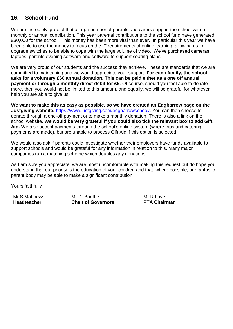## **16. School Fund**

We are incredibly grateful that a large number of parents and carers support the school with a monthly or annual contribution. This year parental contributions to the school fund have generated £30,000 for the school. This money has been more vital than ever. In particular this year we have been able to use the money to focus on the IT requirements of online learning, allowing us to upgrade switches to be able to cope with the large volume of video. We've purchased cameras, laptops, parents evening software and software to support seating plans.

We are very proud of our students and the success they achieve. These are standards that we are committed to maintaining and we would appreciate your support. **For each family, the school asks for a voluntary £60 annual donation. This can be paid either as a one off annual payment or through a monthly direct debit for £5**. Of course, should you feel able to donate more, then you would not be limited to this amount, and equally, we will be grateful for whatever help you are able to give us.

**We want to make this as easy as possible, so we have created an Edgbarrow page on the Justgiving website:** [https://www.justgiving.com/edgbarrowschool/.](https://www.justgiving.com/edgbarrowschool/) You can then choose to donate through a one-off payment or to make a monthly donation. There is also a link on the school website. **We would be very grateful if you could also tick the relevant box to add Gift Aid.** We also accept payments through the school's online system (where trips and catering payments are made), but are unable to process Gift Aid if this option is selected.

We would also ask if parents could investigate whether their employers have funds available to support schools and would be grateful for any information in relation to this. Many major companies run a matching scheme which doubles any donations.

As I am sure you appreciate, we are most uncomfortable with making this request but do hope you understand that our priority is the education of your children and that, where possible, our fantastic parent body may be able to make a significant contribution.

Yours faithfully

Mr S Matthews **Headteacher** 

Mr D. Boothe **Chair of Governors** Mr R Love **PTA Chairman**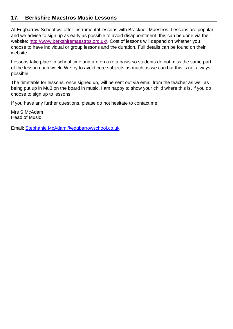## **17. Berkshire Maestros Music Lessons**

At Edgbarrow School we offer instrumental lessons with Bracknell Maestros. Lessons are popular and we advise to sign up as early as possible to avoid disappointment, this can be done via their website: [http://www.berkshiremaestros.org.uk/.](http://www.berkshiremaestros.org.uk/) Cost of lessons will depend on whether you choose to have individual or group lessons and the duration. Full details can be found on their website.

Lessons take place in school time and are on a rota basis so students do not miss the same part of the lesson each week. We try to avoid core subjects as much as we can but this is not always possible.

The timetable for lessons, once signed up, will be sent out via email from the teacher as well as being put up in Mu3 on the board in music. I am happy to show your child where this is, if you do choose to sign up to lessons.

If you have any further questions, please do not hesitate to contact me.

Mrs S McAdam Head of Music

Email: [Stephanie.McAdam@edgbarrowschool.co.uk](mailto:Stephanie.McAdam@edgbarrowschool.co.uk)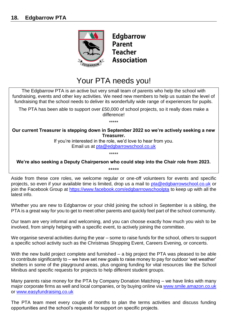

**Edgbarrow Parent Teacher Association** 

## Your PTA needs you!

The Edgbarrow PTA is an active but very small team of parents who help the school with fundraising, events and other key activities. We need new members to help us sustain the level of fundraising that the school needs to deliver its wonderfully wide range of experiences for pupils.

The PTA has been able to support over £50,000 of school projects, so it really does make a difference!

\*\*\*\*\*

**Our current Treasurer is stepping down in September 2022 so we're actively seeking a new Treasurer.** 

> If you're interested in the role, we'd love to hear from you. Email us at [pta@edgbarrowschool.co.uk](mailto:pta@edgbarrowschool.co.uk)

> > \*\*\*\*\*

**We're also seeking a Deputy Chairperson who could step into the Chair role from 2023.**  \*\*\*\*\*

Aside from these core roles, we welcome regular or one-off volunteers for events and specific projects, so even if your available time is limited, drop us a mail to [pta@edgbarrowschool.co.uk](mailto:pta@edgbarrowschool.co.uk) or join the Facebook Group at<https://www.facebook.com/edgbarrrowschoolpta> to keep up with all the latest info.

Whether you are new to Edgbarrow or your child joining the school in September is a sibling, the PTA is a great way for you to get to meet other parents and quickly feel part of the school community.

Our team are very informal and welcoming, and you can choose exactly how much you wish to be involved, from simply helping with a specific event, to actively joining the committee.

We organise several activities during the year – some to raise funds for the school, others to support a specific school activity such as the Christmas Shopping Event, Careers Evening, or concerts.

With the new build project complete and furnished – a big project the PTA was pleased to be able to contribute significantly to – we have set new goals to raise money to pay for outdoor 'wet weather' shelters in some of the playground areas, plus ongoing funding for vital resources like the School Minibus and specific requests for projects to help different student groups.

Many parents raise money for the PTA by Company Donation Matching – we have links with many major corporate firms as well and local companies, or by buying online via [www.smile.amazon.co.uk](http://www.smile.amazon.co.uk/) or [www.easyfundraising.co.uk](http://www.easyfundraising.co.uk/)

The PTA team meet every couple of months to plan the terms activities and discuss funding opportunities and the school's requests for support on specific projects.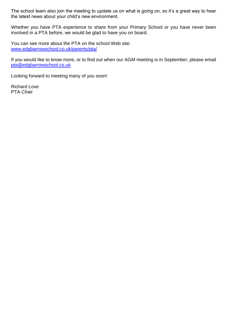The school team also join the meeting to update us on what is going on, so it's a great way to hear the latest news about your child's new environment.

Whether you have PTA experience to share from your Primary School or you have never been involved in a PTA before, we would be glad to have you on board.

You can see more about the PTA on the school Web site: [www.edgbarrowschool.co.uk/parents/pta/](https://www.edgbarrowschool.co.uk/parents/pta/)

If you would like to know more, or to find out when our AGM meeting is in September, please email [pta@edgbarrowschool.co.uk](mailto:pta@edgbarrowschool.co.uk)

Looking forward to meeting many of you soon!

Richard Love PTA Chair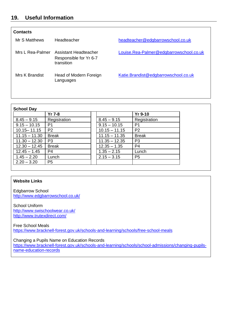## **19. Useful Information**

| Contacts         |                                                               |                                         |
|------------------|---------------------------------------------------------------|-----------------------------------------|
| Mr S Matthews    | Headteacher                                                   | headteacher@edgbarrowschool.co.uk       |
| Mrs L Rea-Palmer | Assistant Headteacher<br>Responsible for Yr 6-7<br>transition | Louise.Rea-Palmer@edgbarrowschool.co.uk |
| Mrs K Brandist   | Head of Modern Foreign<br>Languages                           | Katie.Brandist@edgbarrowschool.co.uk    |

|                 | $Yr$ 7-8       |                 | <b>Yr 9-10</b> |  |
|-----------------|----------------|-----------------|----------------|--|
| $8.45 - 9.15$   | Registration   | $8.45 - 9.15$   | Registration   |  |
| $9.15 - 10.15$  | P <sub>1</sub> | $9.15 - 10.15$  | P <sub>1</sub> |  |
| $10.15 - 11.15$ | P <sub>2</sub> | $10.15 - 11.15$ | P <sub>2</sub> |  |
| $11.15 - 11.30$ | <b>Break</b>   | $11.15 - 11.35$ | <b>Break</b>   |  |
| $11.30 - 12.30$ | P <sub>3</sub> | $11.35 - 12.35$ | P <sub>3</sub> |  |
| $12.30 - 12.45$ | <b>Break</b>   | $12.35 - 1.35$  | P4             |  |
| $12.45 - 1.45$  | P4             | $1.35 - 2.15$   | Lunch          |  |
| $1.45 - 2.20$   | Lunch          | $2.15 - 3.15$   | P <sub>5</sub> |  |
| $2.20 - 3.20$   | P <sub>5</sub> |                 |                |  |

#### **Website Links**

Edgbarrow School <http://www.edgbarrowschool.co.uk/>

School Uniform <http://www.swischoolwear.co.uk/> <http://www.trutexdirect.com/>

Free School Meals

<https://www.bracknell-forest.gov.uk/schools-and-learning/schools/free-school-meals>

Changing a Pupils Name on Education Records [https://www.bracknell-forest.gov.uk/schools-and-learning/schools/school-admissions/changing-pupils](https://www.bracknell-forest.gov.uk/schools-and-learning/schools/school-admissions/changing-pupils-name-education-records)[name-education-records](https://www.bracknell-forest.gov.uk/schools-and-learning/schools/school-admissions/changing-pupils-name-education-records)